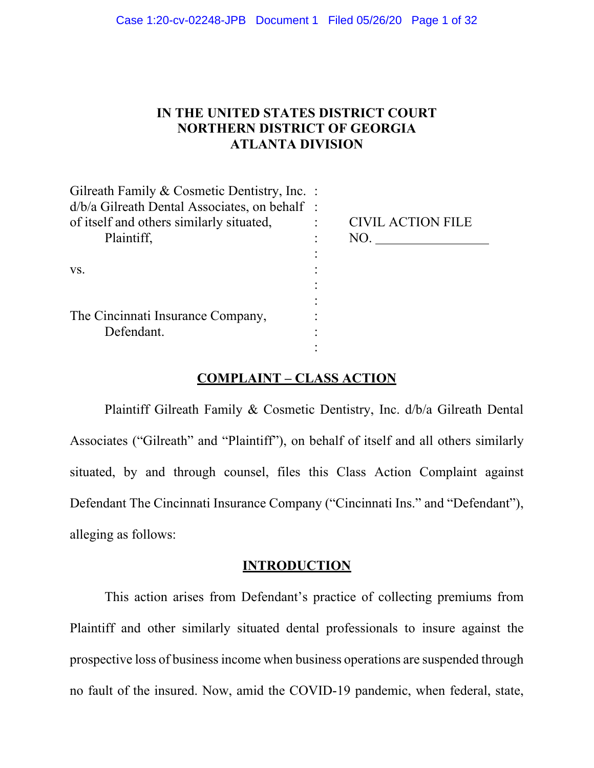# **IN THE UNITED STATES DISTRICT COURT NORTHERN DISTRICT OF GEORGIA ATLANTA DIVISION**

| Gilreath Family & Cosmetic Dentistry, Inc. :  |                          |
|-----------------------------------------------|--------------------------|
| d/b/a Gilreath Dental Associates, on behalf : |                          |
| of itself and others similarly situated,      | <b>CIVIL ACTION FILE</b> |
| Plaintiff,                                    | NO.                      |
|                                               |                          |
| VS.                                           |                          |
|                                               |                          |
|                                               |                          |
| The Cincinnati Insurance Company,             |                          |
| Defendant.                                    |                          |
|                                               |                          |

# **COMPLAINT – CLASS ACTION**

Plaintiff Gilreath Family & Cosmetic Dentistry, Inc. d/b/a Gilreath Dental Associates ("Gilreath" and "Plaintiff"), on behalf of itself and all others similarly situated, by and through counsel, files this Class Action Complaint against Defendant The Cincinnati Insurance Company ("Cincinnati Ins." and "Defendant"), alleging as follows:

#### **INTRODUCTION**

This action arises from Defendant's practice of collecting premiums from Plaintiff and other similarly situated dental professionals to insure against the prospective loss of business income when business operations are suspended through no fault of the insured. Now, amid the COVID-19 pandemic, when federal, state,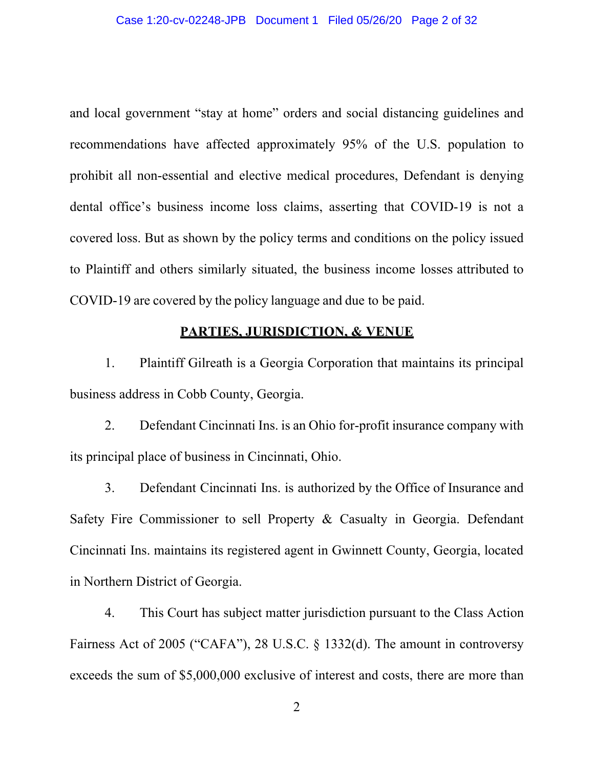and local government "stay at home" orders and social distancing guidelines and recommendations have affected approximately 95% of the U.S. population to prohibit all non-essential and elective medical procedures, Defendant is denying dental office's business income loss claims, asserting that COVID-19 is not a covered loss. But as shown by the policy terms and conditions on the policy issued to Plaintiff and others similarly situated, the business income losses attributed to COVID-19 are covered by the policy language and due to be paid.

### **PARTIES, JURISDICTION, & VENUE**

1. Plaintiff Gilreath is a Georgia Corporation that maintains its principal business address in Cobb County, Georgia.

2. Defendant Cincinnati Ins. is an Ohio for-profit insurance company with its principal place of business in Cincinnati, Ohio.

3. Defendant Cincinnati Ins. is authorized by the Office of Insurance and Safety Fire Commissioner to sell Property & Casualty in Georgia. Defendant Cincinnati Ins. maintains its registered agent in Gwinnett County, Georgia, located in Northern District of Georgia.

4. This Court has subject matter jurisdiction pursuant to the Class Action Fairness Act of 2005 ("CAFA"), 28 U.S.C. § 1332(d). The amount in controversy exceeds the sum of \$5,000,000 exclusive of interest and costs, there are more than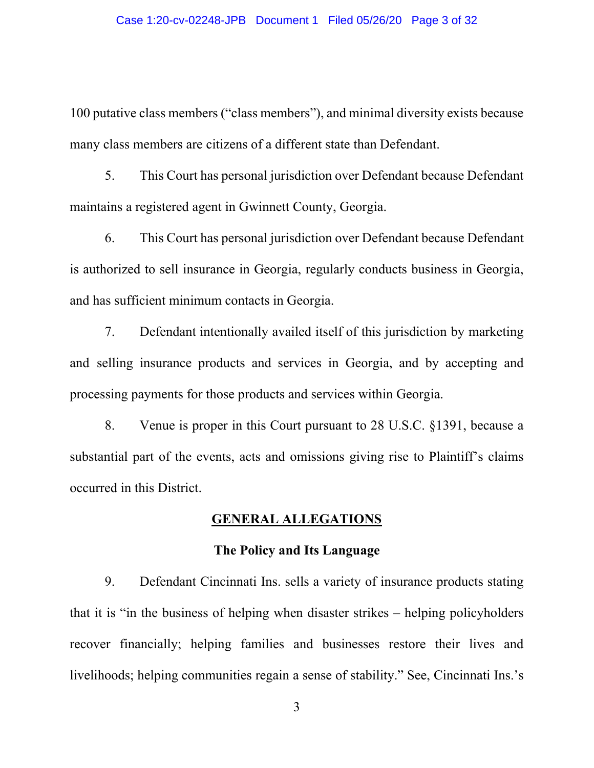100 putative class members ("class members"), and minimal diversity exists because many class members are citizens of a different state than Defendant.

5. This Court has personal jurisdiction over Defendant because Defendant maintains a registered agent in Gwinnett County, Georgia.

6. This Court has personal jurisdiction over Defendant because Defendant is authorized to sell insurance in Georgia, regularly conducts business in Georgia, and has sufficient minimum contacts in Georgia.

7. Defendant intentionally availed itself of this jurisdiction by marketing and selling insurance products and services in Georgia, and by accepting and processing payments for those products and services within Georgia.

8. Venue is proper in this Court pursuant to 28 U.S.C. §1391, because a substantial part of the events, acts and omissions giving rise to Plaintiff's claims occurred in this District.

# **GENERAL ALLEGATIONS**

#### **The Policy and Its Language**

9. Defendant Cincinnati Ins. sells a variety of insurance products stating that it is "in the business of helping when disaster strikes – helping policyholders recover financially; helping families and businesses restore their lives and livelihoods; helping communities regain a sense of stability." See, Cincinnati Ins.'s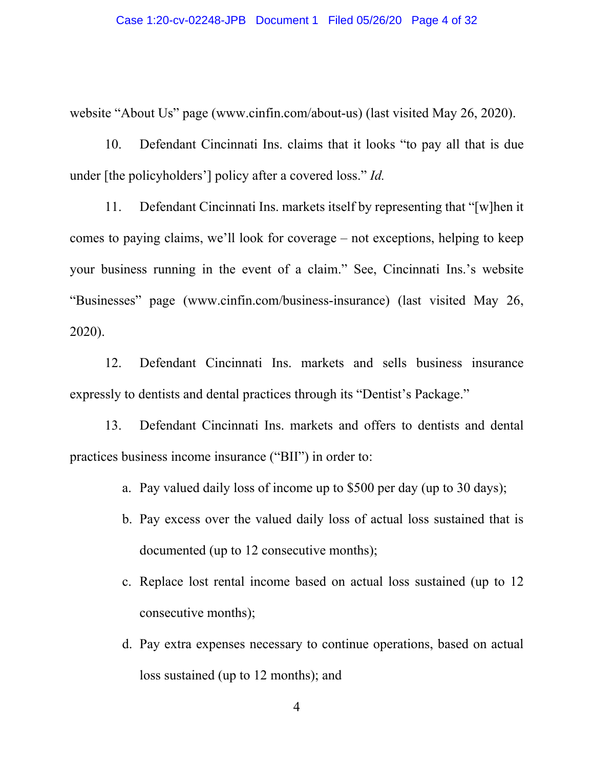website "About Us" page (www.cinfin.com/about-us) (last visited May 26, 2020).

10. Defendant Cincinnati Ins. claims that it looks "to pay all that is due under [the policyholders'] policy after a covered loss." *Id.*

11. Defendant Cincinnati Ins. markets itself by representing that "[w]hen it comes to paying claims, we'll look for coverage – not exceptions, helping to keep your business running in the event of a claim." See, Cincinnati Ins.'s website "Businesses" page (www.cinfin.com/business-insurance) (last visited May 26, 2020).

12. Defendant Cincinnati Ins. markets and sells business insurance expressly to dentists and dental practices through its "Dentist's Package."

13. Defendant Cincinnati Ins. markets and offers to dentists and dental practices business income insurance ("BII") in order to:

- a. Pay valued daily loss of income up to \$500 per day (up to 30 days);
- b. Pay excess over the valued daily loss of actual loss sustained that is documented (up to 12 consecutive months);
- c. Replace lost rental income based on actual loss sustained (up to 12 consecutive months);
- d. Pay extra expenses necessary to continue operations, based on actual loss sustained (up to 12 months); and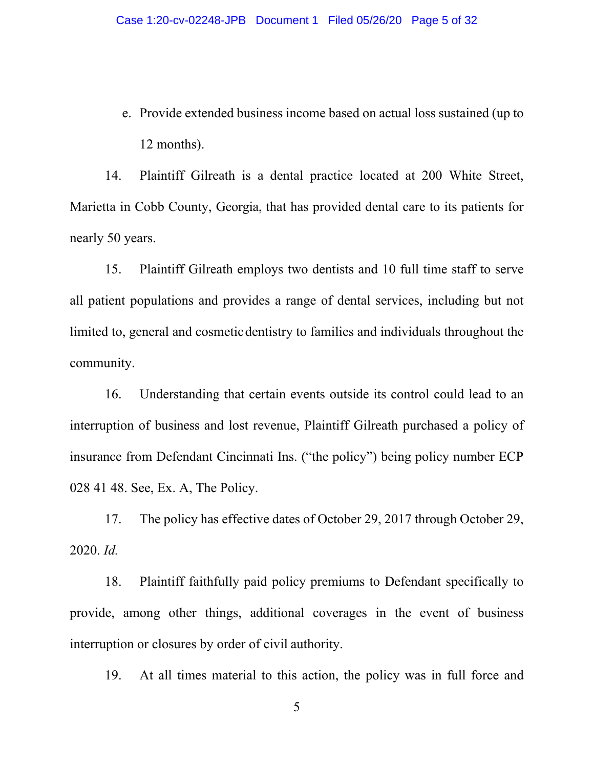e. Provide extended business income based on actual loss sustained (up to 12 months).

14. Plaintiff Gilreath is a dental practice located at 200 White Street, Marietta in Cobb County, Georgia, that has provided dental care to its patients for nearly 50 years.

15. Plaintiff Gilreath employs two dentists and 10 full time staff to serve all patient populations and provides a range of dental services, including but not limited to, general and cosmeticdentistry to families and individuals throughout the community.

16. Understanding that certain events outside its control could lead to an interruption of business and lost revenue, Plaintiff Gilreath purchased a policy of insurance from Defendant Cincinnati Ins. ("the policy") being policy number ECP 028 41 48. See, Ex. A, The Policy.

17. The policy has effective dates of October 29, 2017 through October 29, 2020. *Id.*

18. Plaintiff faithfully paid policy premiums to Defendant specifically to provide, among other things, additional coverages in the event of business interruption or closures by order of civil authority.

19. At all times material to this action, the policy was in full force and

5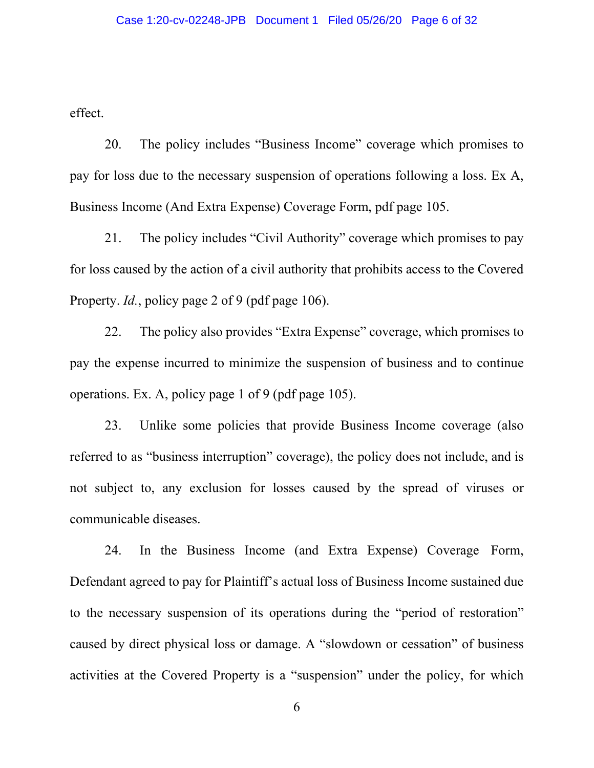effect.

20. The policy includes "Business Income" coverage which promises to pay for loss due to the necessary suspension of operations following a loss. Ex A, Business Income (And Extra Expense) Coverage Form, pdf page 105.

21. The policy includes "Civil Authority" coverage which promises to pay for loss caused by the action of a civil authority that prohibits access to the Covered Property. *Id.*, policy page 2 of 9 (pdf page 106).

22. The policy also provides "Extra Expense" coverage, which promises to pay the expense incurred to minimize the suspension of business and to continue operations. Ex. A, policy page 1 of 9 (pdf page 105).

23. Unlike some policies that provide Business Income coverage (also referred to as "business interruption" coverage), the policy does not include, and is not subject to, any exclusion for losses caused by the spread of viruses or communicable diseases.

24. In the Business Income (and Extra Expense) Coverage Form, Defendant agreed to pay for Plaintiff's actual loss of Business Income sustained due to the necessary suspension of its operations during the "period of restoration" caused by direct physical loss or damage. A "slowdown or cessation" of business activities at the Covered Property is a "suspension" under the policy, for which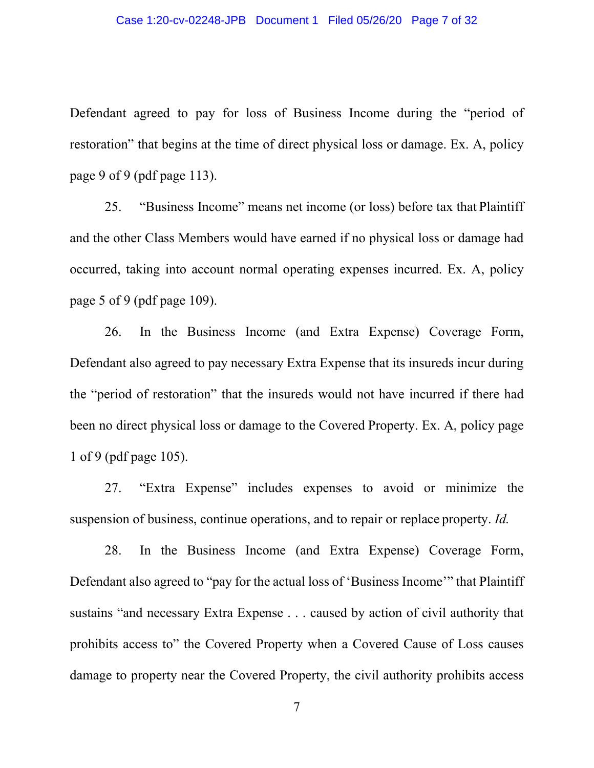#### Case 1:20-cv-02248-JPB Document 1 Filed 05/26/20 Page 7 of 32

Defendant agreed to pay for loss of Business Income during the "period of restoration" that begins at the time of direct physical loss or damage. Ex. A, policy page 9 of 9 (pdf page 113).

25. "Business Income" means net income (or loss) before tax that Plaintiff and the other Class Members would have earned if no physical loss or damage had occurred, taking into account normal operating expenses incurred. Ex. A, policy page 5 of 9 (pdf page 109).

26. In the Business Income (and Extra Expense) Coverage Form, Defendant also agreed to pay necessary Extra Expense that its insureds incur during the "period of restoration" that the insureds would not have incurred if there had been no direct physical loss or damage to the Covered Property. Ex. A, policy page 1 of 9 (pdf page 105).

27. "Extra Expense" includes expenses to avoid or minimize the suspension of business, continue operations, and to repair or replace property. *Id.*

28. In the Business Income (and Extra Expense) Coverage Form, Defendant also agreed to "pay for the actual loss of 'Business Income'" that Plaintiff sustains "and necessary Extra Expense . . . caused by action of civil authority that prohibits access to" the Covered Property when a Covered Cause of Loss causes damage to property near the Covered Property, the civil authority prohibits access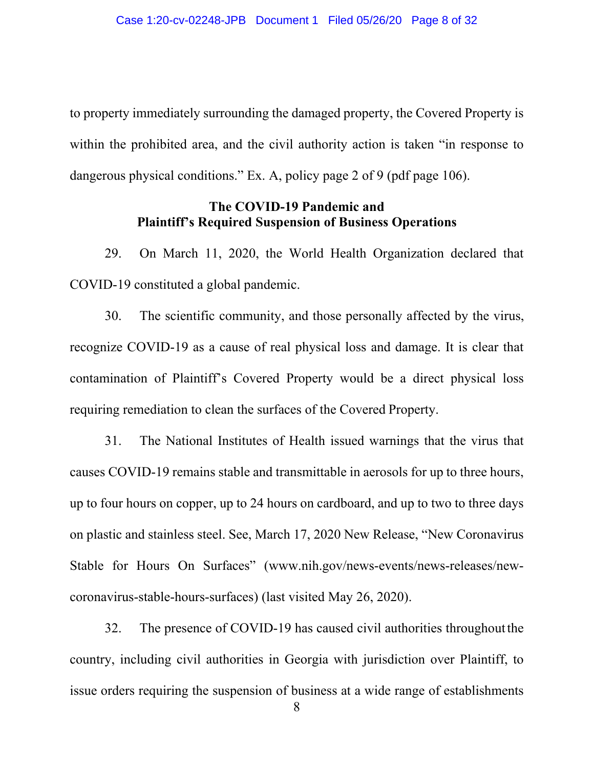to property immediately surrounding the damaged property, the Covered Property is within the prohibited area, and the civil authority action is taken "in response to dangerous physical conditions." Ex. A, policy page 2 of 9 (pdf page 106).

# **The COVID-19 Pandemic and Plaintiff's Required Suspension of Business Operations**

29. On March 11, 2020, the World Health Organization declared that COVID-19 constituted a global pandemic.

30. The scientific community, and those personally affected by the virus, recognize COVID-19 as a cause of real physical loss and damage. It is clear that contamination of Plaintiff's Covered Property would be a direct physical loss requiring remediation to clean the surfaces of the Covered Property.

31. The National Institutes of Health issued warnings that the virus that causes COVID-19 remains stable and transmittable in aerosols for up to three hours, up to four hours on copper, up to 24 hours on cardboard, and up to two to three days on plastic and stainless steel. See, March 17, 2020 New Release, "New Coronavirus Stable for Hours On Surfaces" (www.nih.gov/news-events/news-releases/newcoronavirus-stable-hours-surfaces) (last visited May 26, 2020).

32. The presence of COVID-19 has caused civil authorities throughoutthe country, including civil authorities in Georgia with jurisdiction over Plaintiff, to issue orders requiring the suspension of business at a wide range of establishments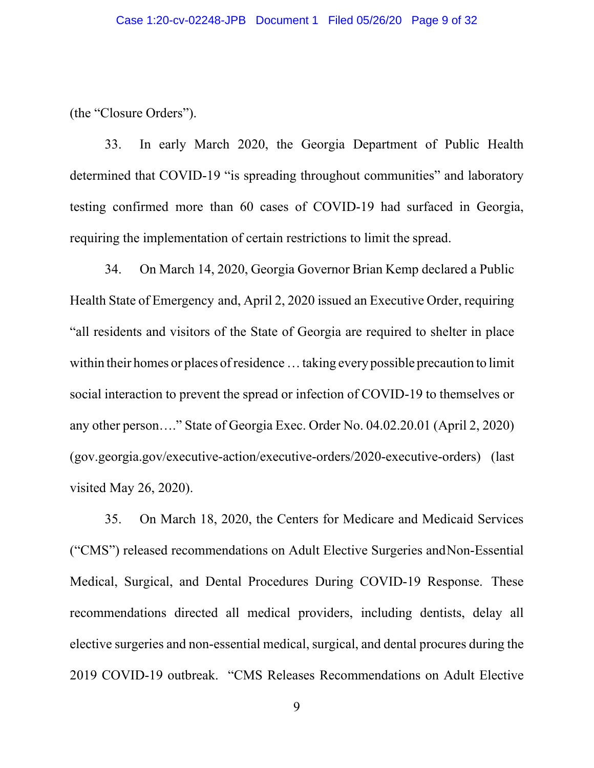(the "Closure Orders").

33. In early March 2020, the Georgia Department of Public Health determined that COVID-19 "is spreading throughout communities" and laboratory testing confirmed more than 60 cases of COVID-19 had surfaced in Georgia, requiring the implementation of certain restrictions to limit the spread.

34. On March 14, 2020, Georgia Governor Brian Kemp declared a Public Health State of Emergency and, April 2, 2020 issued an Executive Order, requiring "all residents and visitors of the State of Georgia are required to shelter in place within their homes or places of residence ... taking every possible precaution to limit social interaction to prevent the spread or infection of COVID-19 to themselves or any other person…." State of Georgia Exec. Order No. 04.02.20.01 (April 2, 2020) (gov.georgia.gov/executive-action/executive-orders/2020-executive-orders) (last visited May 26, 2020).

35. On March 18, 2020, the Centers for Medicare and Medicaid Services ("CMS") released recommendations on Adult Elective Surgeries andNon-Essential Medical, Surgical, and Dental Procedures During COVID-19 Response. These recommendations directed all medical providers, including dentists, delay all elective surgeries and non-essential medical, surgical, and dental procures during the 2019 COVID-19 outbreak. "CMS Releases Recommendations on Adult Elective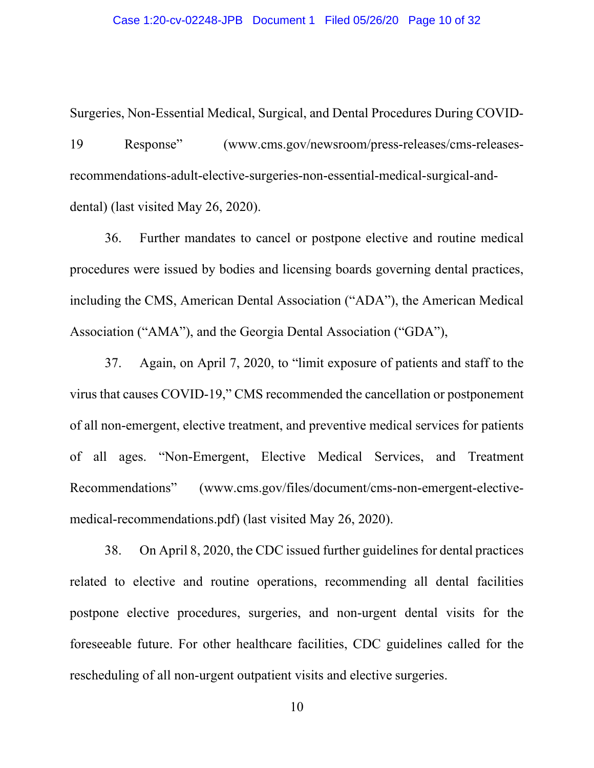Surgeries, Non-Essential Medical, Surgical, and Dental Procedures During COVID-19 Response" (www.cms.gov/newsroom/press-releases/cms-releasesrecommendations-adult-elective-surgeries-non-essential-medical-surgical-anddental) (last visited May 26, 2020).

36. Further mandates to cancel or postpone elective and routine medical procedures were issued by bodies and licensing boards governing dental practices, including the CMS, American Dental Association ("ADA"), the American Medical Association ("AMA"), and the Georgia Dental Association ("GDA"),

37. Again, on April 7, 2020, to "limit exposure of patients and staff to the virus that causes COVID-19," CMS recommended the cancellation or postponement of all non-emergent, elective treatment, and preventive medical services for patients of all ages. "Non-Emergent, Elective Medical Services, and Treatment Recommendations" (www.cms.gov/files/document/cms-non-emergent-electivemedical-recommendations.pdf) (last visited May 26, 2020).

38. On April 8, 2020, the CDC issued further guidelines for dental practices related to elective and routine operations, recommending all dental facilities postpone elective procedures, surgeries, and non-urgent dental visits for the foreseeable future. For other healthcare facilities, CDC guidelines called for the rescheduling of all non-urgent outpatient visits and elective surgeries.

10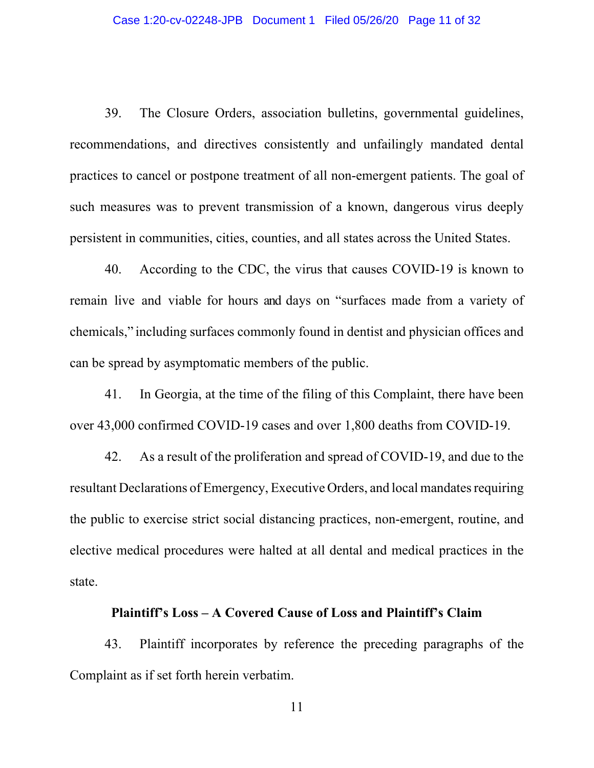39. The Closure Orders, association bulletins, governmental guidelines, recommendations, and directives consistently and unfailingly mandated dental practices to cancel or postpone treatment of all non-emergent patients. The goal of such measures was to prevent transmission of a known, dangerous virus deeply persistent in communities, cities, counties, and all states across the United States.

40. According to the CDC, the virus that causes COVID-19 is known to remain live and viable for hours and days on "surfaces made from a variety of chemicals," including surfaces commonly found in dentist and physician offices and can be spread by asymptomatic members of the public.

41. In Georgia, at the time of the filing of this Complaint, there have been over 43,000 confirmed COVID-19 cases and over 1,800 deaths from COVID-19.

42. As a result of the proliferation and spread of COVID-19, and due to the resultant Declarations of Emergency, Executive Orders, and local mandates requiring the public to exercise strict social distancing practices, non-emergent, routine, and elective medical procedures were halted at all dental and medical practices in the state.

#### **Plaintiff's Loss – A Covered Cause of Loss and Plaintiff's Claim**

43. Plaintiff incorporates by reference the preceding paragraphs of the Complaint as if set forth herein verbatim.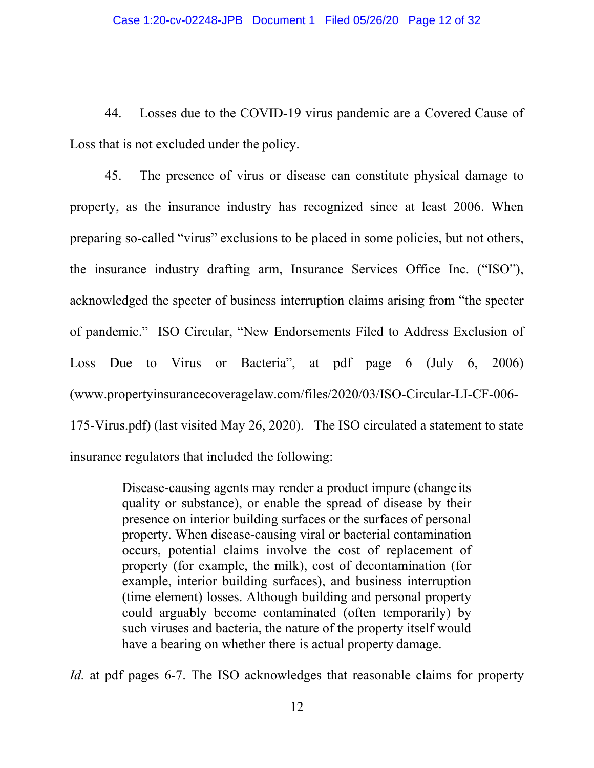44. Losses due to the COVID-19 virus pandemic are a Covered Cause of Loss that is not excluded under the policy.

45. The presence of virus or disease can constitute physical damage to property, as the insurance industry has recognized since at least 2006. When preparing so-called "virus" exclusions to be placed in some policies, but not others, the insurance industry drafting arm, Insurance Services Office Inc. ("ISO"), acknowledged the specter of business interruption claims arising from "the specter of pandemic." ISO Circular, "New Endorsements Filed to Address Exclusion of Loss Due to Virus or Bacteria", at pdf page 6 (July 6, 2006) (www.propertyinsurancecoveragelaw.com/files/2020/03/ISO-Circular-LI-CF-006- 175-Virus.pdf) (last visited May 26, 2020). The ISO circulated a statement to state insurance regulators that included the following:

> Disease-causing agents may render a product impure (change its quality or substance), or enable the spread of disease by their presence on interior building surfaces or the surfaces of personal property. When disease-causing viral or bacterial contamination occurs, potential claims involve the cost of replacement of property (for example, the milk), cost of decontamination (for example, interior building surfaces), and business interruption (time element) losses. Although building and personal property could arguably become contaminated (often temporarily) by such viruses and bacteria, the nature of the property itself would have a bearing on whether there is actual property damage.

*Id.* at pdf pages 6-7. The ISO acknowledges that reasonable claims for property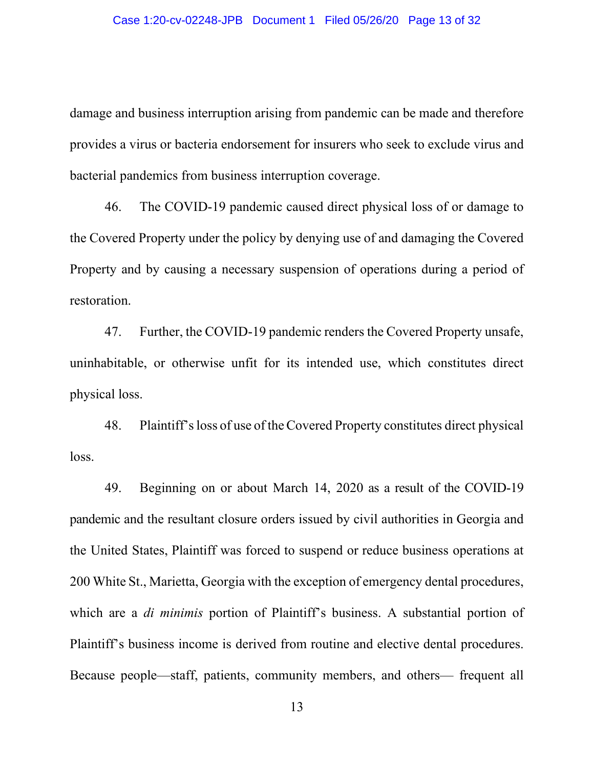damage and business interruption arising from pandemic can be made and therefore provides a virus or bacteria endorsement for insurers who seek to exclude virus and bacterial pandemics from business interruption coverage.

46. The COVID-19 pandemic caused direct physical loss of or damage to the Covered Property under the policy by denying use of and damaging the Covered Property and by causing a necessary suspension of operations during a period of restoration.

47. Further, the COVID-19 pandemic renders the Covered Property unsafe, uninhabitable, or otherwise unfit for its intended use, which constitutes direct physical loss.

48. Plaintiff'sloss of use of theCovered Property constitutes direct physical loss.

49. Beginning on or about March 14, 2020 as a result of the COVID-19 pandemic and the resultant closure orders issued by civil authorities in Georgia and the United States, Plaintiff was forced to suspend or reduce business operations at 200 White St., Marietta, Georgia with the exception of emergency dental procedures, which are a *di minimis* portion of Plaintiff's business. A substantial portion of Plaintiff's business income is derived from routine and elective dental procedures. Because people—staff, patients, community members, and others— frequent all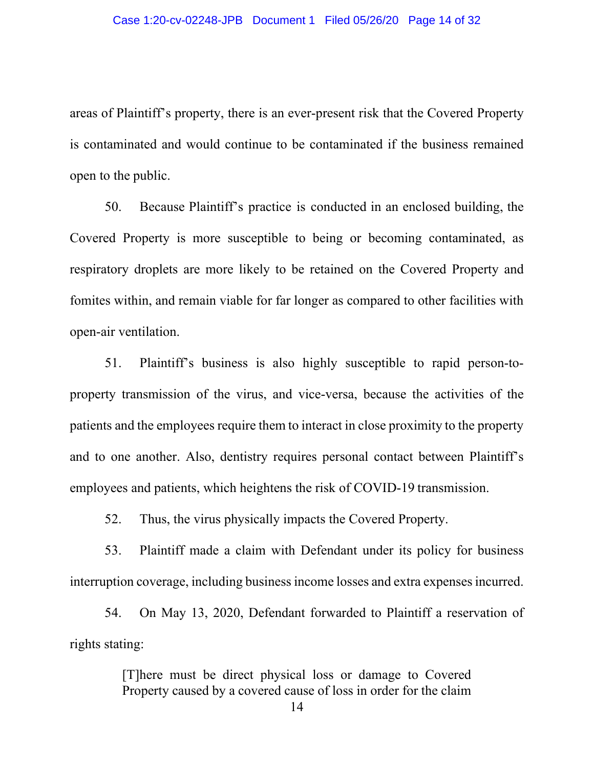areas of Plaintiff's property, there is an ever-present risk that the Covered Property is contaminated and would continue to be contaminated if the business remained open to the public.

50. Because Plaintiff's practice is conducted in an enclosed building, the Covered Property is more susceptible to being or becoming contaminated, as respiratory droplets are more likely to be retained on the Covered Property and fomites within, and remain viable for far longer as compared to other facilities with open-air ventilation.

51. Plaintiff's business is also highly susceptible to rapid person-toproperty transmission of the virus, and vice-versa, because the activities of the patients and the employees require them to interact in close proximity to the property and to one another. Also, dentistry requires personal contact between Plaintiff's employees and patients, which heightens the risk of COVID-19 transmission.

52. Thus, the virus physically impacts the Covered Property.

53. Plaintiff made a claim with Defendant under its policy for business interruption coverage, including business income losses and extra expenses incurred.

54. On May 13, 2020, Defendant forwarded to Plaintiff a reservation of rights stating:

> [T]here must be direct physical loss or damage to Covered Property caused by a covered cause of loss in order for the claim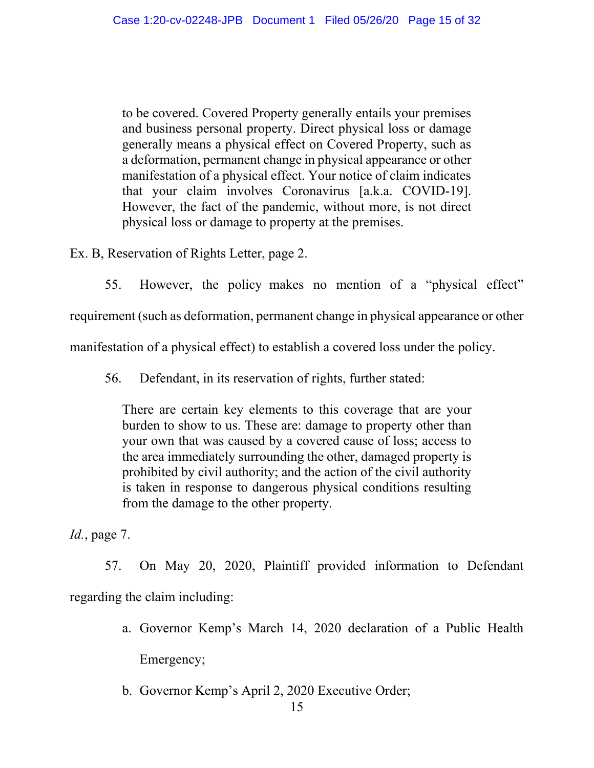to be covered. Covered Property generally entails your premises and business personal property. Direct physical loss or damage generally means a physical effect on Covered Property, such as a deformation, permanent change in physical appearance or other manifestation of a physical effect. Your notice of claim indicates that your claim involves Coronavirus [a.k.a. COVID-19]. However, the fact of the pandemic, without more, is not direct physical loss or damage to property at the premises.

Ex. B, Reservation of Rights Letter, page 2.

55. However, the policy makes no mention of a "physical effect" requirement (such as deformation, permanent change in physical appearance or other manifestation of a physical effect) to establish a covered loss under the policy.

56. Defendant, in its reservation of rights, further stated:

There are certain key elements to this coverage that are your burden to show to us. These are: damage to property other than your own that was caused by a covered cause of loss; access to the area immediately surrounding the other, damaged property is prohibited by civil authority; and the action of the civil authority is taken in response to dangerous physical conditions resulting from the damage to the other property.

*Id.*, page 7.

57. On May 20, 2020, Plaintiff provided information to Defendant regarding the claim including:

- a. Governor Kemp's March 14, 2020 declaration of a Public Health Emergency;
- b. Governor Kemp's April 2, 2020 Executive Order;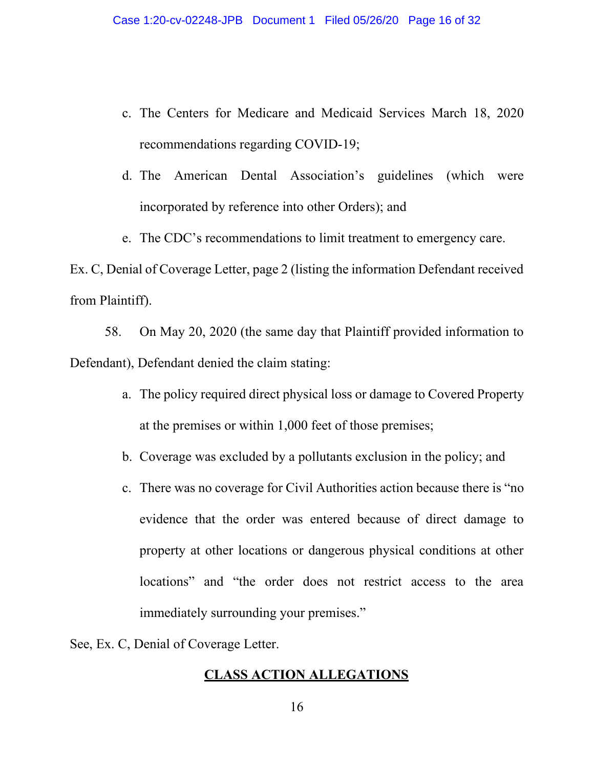- c. The Centers for Medicare and Medicaid Services March 18, 2020 recommendations regarding COVID-19;
- d. The American Dental Association's guidelines (which were incorporated by reference into other Orders); and
- e. The CDC's recommendations to limit treatment to emergency care.

Ex. C, Denial of Coverage Letter, page 2 (listing the information Defendant received from Plaintiff).

58. On May 20, 2020 (the same day that Plaintiff provided information to Defendant), Defendant denied the claim stating:

- a. The policy required direct physical loss or damage to Covered Property at the premises or within 1,000 feet of those premises;
- b. Coverage was excluded by a pollutants exclusion in the policy; and
- c. There was no coverage for Civil Authorities action because there is "no evidence that the order was entered because of direct damage to property at other locations or dangerous physical conditions at other locations" and "the order does not restrict access to the area immediately surrounding your premises."

See, Ex. C, Denial of Coverage Letter.

# **CLASS ACTION ALLEGATIONS**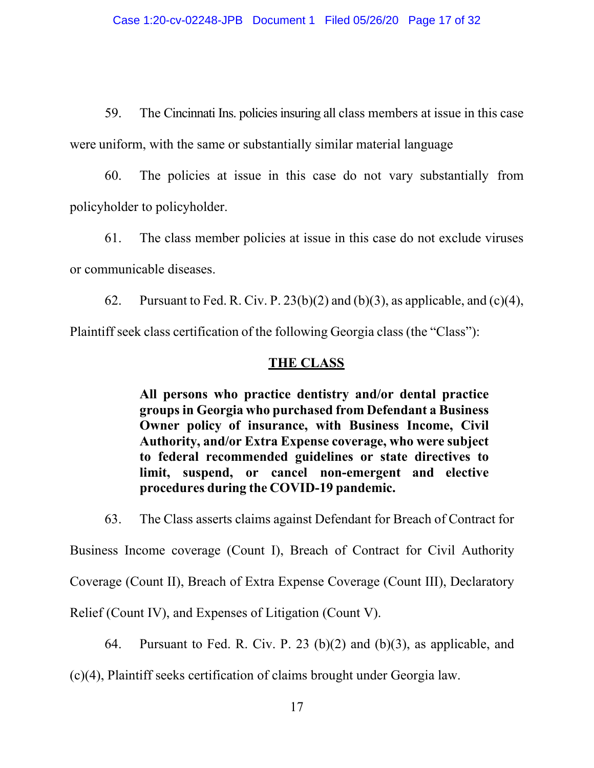59. The Cincinnati Ins. policies insuring all class members at issue in this case were uniform, with the same or substantially similar material language

60. The policies at issue in this case do not vary substantially from policyholder to policyholder.

61. The class member policies at issue in this case do not exclude viruses or communicable diseases.

62. Pursuant to Fed. R. Civ. P.  $23(b)(2)$  and  $(b)(3)$ , as applicable, and  $(c)(4)$ , Plaintiff seek class certification of the following Georgia class (the "Class"):

# **THE CLASS**

**All persons who practice dentistry and/or dental practice groups in Georgia who purchased from Defendant a Business Owner policy of insurance, with Business Income, Civil Authority, and/or Extra Expense coverage, who were subject to federal recommended guidelines or state directives to limit, suspend, or cancel non-emergent and elective procedures during the COVID-19 pandemic.**

63. The Class asserts claims against Defendant for Breach of Contract for Business Income coverage (Count I), Breach of Contract for Civil Authority Coverage (Count II), Breach of Extra Expense Coverage (Count III), Declaratory Relief (Count IV), and Expenses of Litigation (Count V).

64. Pursuant to Fed. R. Civ. P. 23 (b)(2) and (b)(3), as applicable, and (c)(4), Plaintiff seeks certification of claims brought under Georgia law.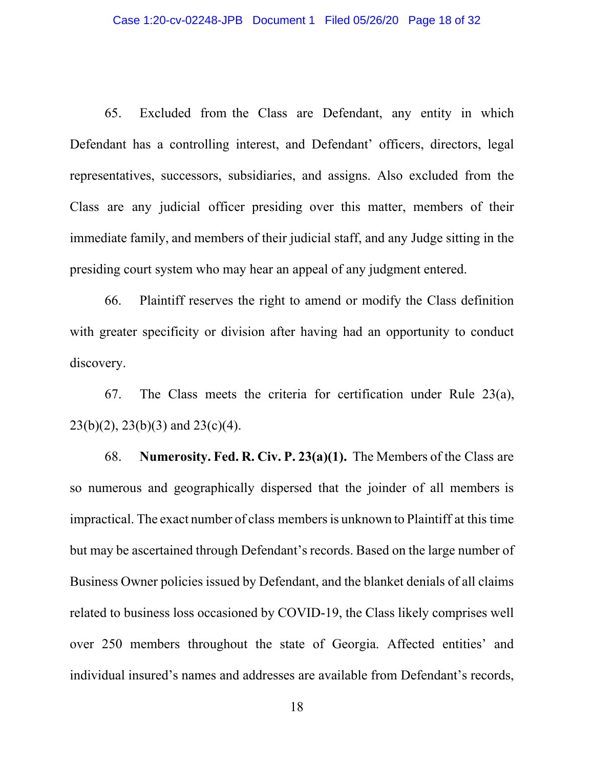65. Excluded from the Class are Defendant, any entity in which Defendant has a controlling interest, and Defendant' officers, directors, legal representatives, successors, subsidiaries, and assigns. Also excluded from the Class are any judicial officer presiding over this matter, members of their immediate family, and members of their judicial staff, and any Judge sitting in the presiding court system who may hear an appeal of any judgment entered.

66. Plaintiff reserves the right to amend or modify the Class definition with greater specificity or division after having had an opportunity to conduct discovery.

67. The Class meets the criteria for certification under Rule 23(a),  $23(b)(2)$ ,  $23(b)(3)$  and  $23(c)(4)$ .

68. **Numerosity. Fed. R. Civ. P. 23(a)(1).** The Members of the Class are so numerous and geographically dispersed that the joinder of all members is impractical. The exact number of class membersis unknown to Plaintiff at this time but may be ascertained through Defendant's records. Based on the large number of Business Owner policies issued by Defendant, and the blanket denials of all claims related to business loss occasioned by COVID-19, the Class likely comprises well over 250 members throughout the state of Georgia. Affected entities' and individual insured's names and addresses are available from Defendant's records,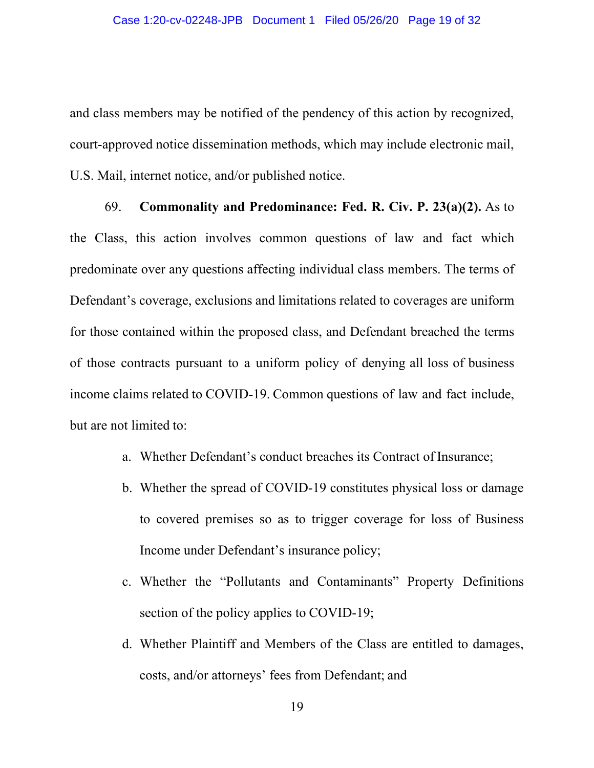and class members may be notified of the pendency of this action by recognized, court-approved notice dissemination methods, which may include electronic mail, U.S. Mail, internet notice, and/or published notice.

69. **Commonality and Predominance: Fed. R. Civ. P. 23(a)(2).** As to the Class, this action involves common questions of law and fact which predominate over any questions affecting individual class members. The terms of Defendant's coverage, exclusions and limitations related to coverages are uniform for those contained within the proposed class, and Defendant breached the terms of those contracts pursuant to a uniform policy of denying all loss of business income claims related to COVID-19. Common questions of law and fact include, but are not limited to:

- a. Whether Defendant's conduct breaches its Contract of Insurance;
- b. Whether the spread of COVID-19 constitutes physical loss or damage to covered premises so as to trigger coverage for loss of Business Income under Defendant's insurance policy;
- c. Whether the "Pollutants and Contaminants" Property Definitions section of the policy applies to COVID-19;
- d. Whether Plaintiff and Members of the Class are entitled to damages, costs, and/or attorneys' fees from Defendant; and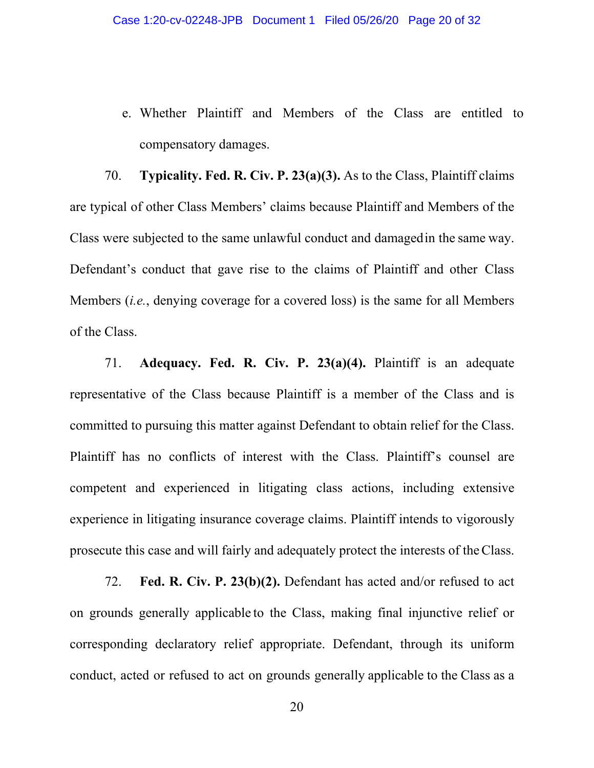e. Whether Plaintiff and Members of the Class are entitled to compensatory damages.

70. **Typicality. Fed. R. Civ. P. 23(a)(3).** As to the Class, Plaintiff claims are typical of other Class Members' claims because Plaintiff and Members of the Class were subjected to the same unlawful conduct and damagedin the same way. Defendant's conduct that gave rise to the claims of Plaintiff and other Class Members (*i.e.*, denying coverage for a covered loss) is the same for all Members of the Class.

71. **Adequacy. Fed. R. Civ. P. 23(a)(4).** Plaintiff is an adequate representative of the Class because Plaintiff is a member of the Class and is committed to pursuing this matter against Defendant to obtain relief for the Class. Plaintiff has no conflicts of interest with the Class. Plaintiff's counsel are competent and experienced in litigating class actions, including extensive experience in litigating insurance coverage claims. Plaintiff intends to vigorously prosecute this case and will fairly and adequately protect the interests of theClass.

72. **Fed. R. Civ. P. 23(b)(2).** Defendant has acted and/or refused to act on grounds generally applicable to the Class, making final injunctive relief or corresponding declaratory relief appropriate. Defendant, through its uniform conduct, acted or refused to act on grounds generally applicable to the Class as a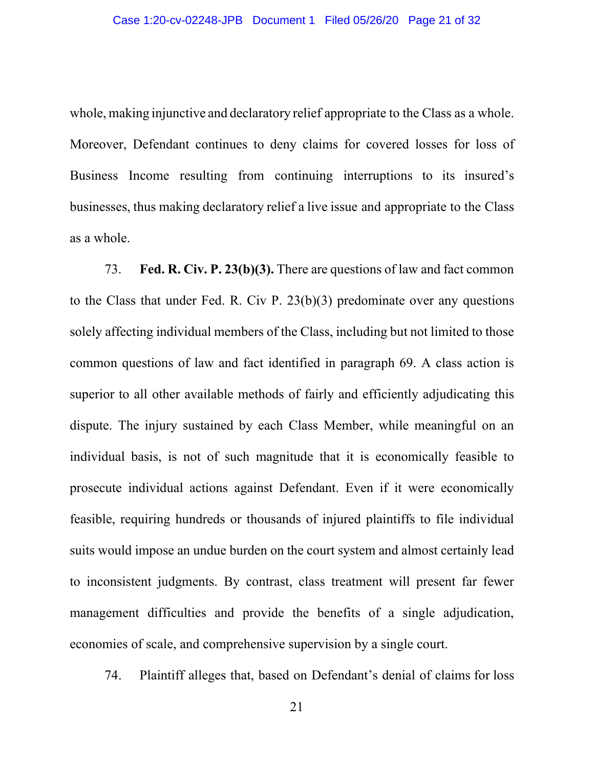whole, making injunctive and declaratory relief appropriate to the Class as a whole. Moreover, Defendant continues to deny claims for covered losses for loss of Business Income resulting from continuing interruptions to its insured's businesses, thus making declaratory relief a live issue and appropriate to the Class as a whole.

73. **Fed. R. Civ. P. 23(b)(3).** There are questions of law and fact common to the Class that under Fed. R. Civ P. 23(b)(3) predominate over any questions solely affecting individual members of the Class, including but not limited to those common questions of law and fact identified in paragraph 69. A class action is superior to all other available methods of fairly and efficiently adjudicating this dispute. The injury sustained by each Class Member, while meaningful on an individual basis, is not of such magnitude that it is economically feasible to prosecute individual actions against Defendant. Even if it were economically feasible, requiring hundreds or thousands of injured plaintiffs to file individual suits would impose an undue burden on the court system and almost certainly lead to inconsistent judgments. By contrast, class treatment will present far fewer management difficulties and provide the benefits of a single adjudication, economies of scale, and comprehensive supervision by a single court.

74. Plaintiff alleges that, based on Defendant's denial of claims for loss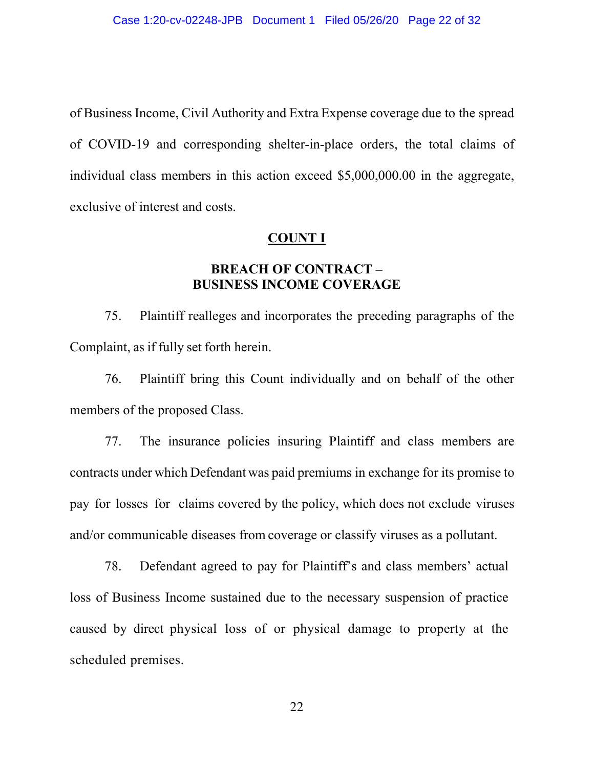of Business Income, Civil Authority and Extra Expense coverage due to the spread of COVID-19 and corresponding shelter-in-place orders, the total claims of individual class members in this action exceed \$5,000,000.00 in the aggregate, exclusive of interest and costs.

#### **COUNT I**

# **BREACH OF CONTRACT – BUSINESS INCOME COVERAGE**

75. Plaintiff realleges and incorporates the preceding paragraphs of the Complaint, as if fully set forth herein.

76. Plaintiff bring this Count individually and on behalf of the other members of the proposed Class.

77. The insurance policies insuring Plaintiff and class members are contracts under which Defendant was paid premiums in exchange for its promise to pay for losses for claims covered by the policy, which does not exclude viruses and/or communicable diseases from coverage or classify viruses as a pollutant.

78. Defendant agreed to pay for Plaintiff's and class members' actual loss of Business Income sustained due to the necessary suspension of practice caused by direct physical loss of or physical damage to property at the scheduled premises.

22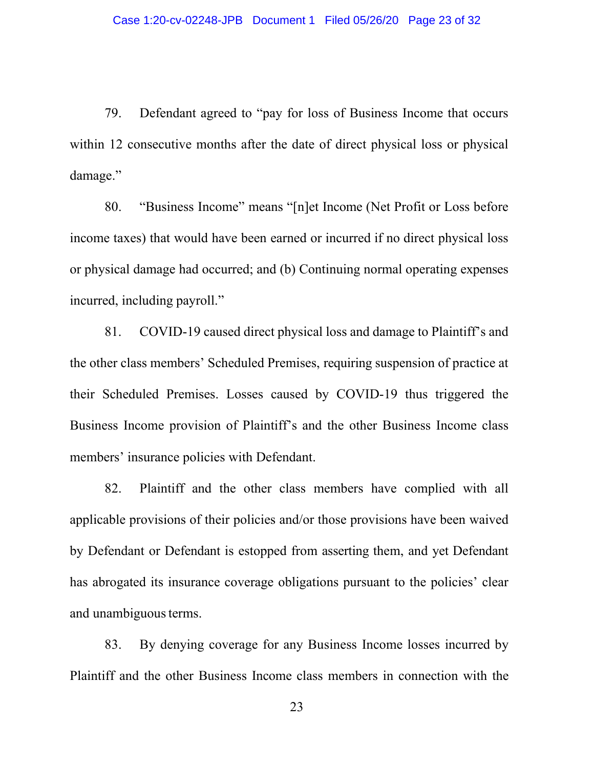79. Defendant agreed to "pay for loss of Business Income that occurs within 12 consecutive months after the date of direct physical loss or physical damage."

80. "Business Income" means "[n]et Income (Net Profit or Loss before income taxes) that would have been earned or incurred if no direct physical loss or physical damage had occurred; and (b) Continuing normal operating expenses incurred, including payroll."

81. COVID-19 caused direct physical loss and damage to Plaintiff's and the other class members' Scheduled Premises, requiring suspension of practice at their Scheduled Premises. Losses caused by COVID-19 thus triggered the Business Income provision of Plaintiff's and the other Business Income class members' insurance policies with Defendant.

82. Plaintiff and the other class members have complied with all applicable provisions of their policies and/or those provisions have been waived by Defendant or Defendant is estopped from asserting them, and yet Defendant has abrogated its insurance coverage obligations pursuant to the policies' clear and unambiguous terms.

83. By denying coverage for any Business Income losses incurred by Plaintiff and the other Business Income class members in connection with the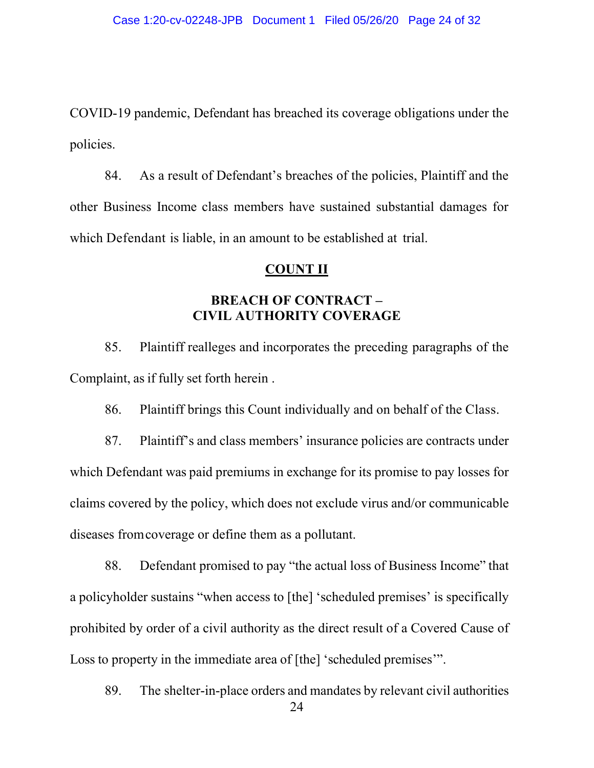COVID-19 pandemic, Defendant has breached its coverage obligations under the policies.

84. As a result of Defendant's breaches of the policies, Plaintiff and the other Business Income class members have sustained substantial damages for which Defendant is liable, in an amount to be established at trial.

### **COUNT II**

### **BREACH OF CONTRACT – CIVIL AUTHORITY COVERAGE**

85. Plaintiff realleges and incorporates the preceding paragraphs of the Complaint, as if fully set forth herein .

86. Plaintiff brings this Count individually and on behalf of the Class.

87. Plaintiff's and class members' insurance policies are contracts under which Defendant was paid premiums in exchange for its promise to pay losses for claims covered by the policy, which does not exclude virus and/or communicable diseases fromcoverage or define them as a pollutant.

88. Defendant promised to pay "the actual loss of Business Income" that a policyholder sustains "when access to [the] 'scheduled premises' is specifically prohibited by order of a civil authority as the direct result of a Covered Cause of Loss to property in the immediate area of [the] 'scheduled premises'".

24 89. The shelter-in-place orders and mandates by relevant civil authorities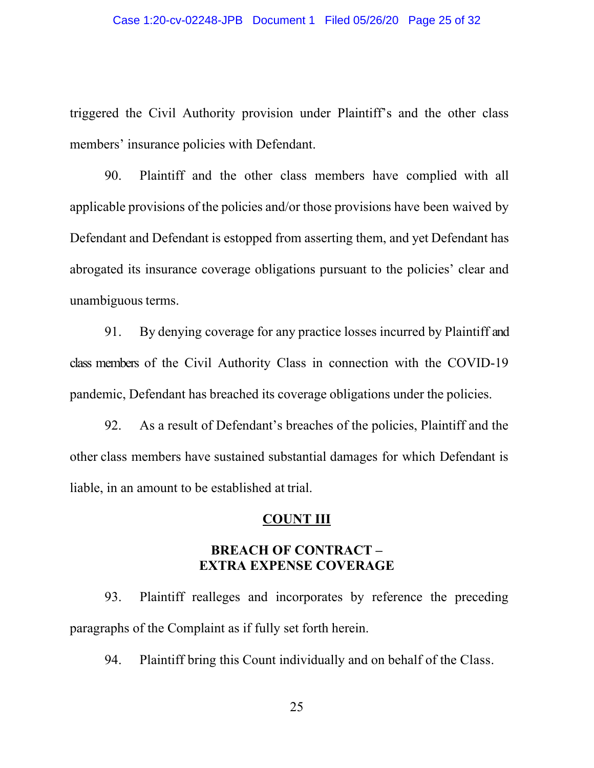triggered the Civil Authority provision under Plaintiff's and the other class members' insurance policies with Defendant.

90. Plaintiff and the other class members have complied with all applicable provisions of the policies and/or those provisions have been waived by Defendant and Defendant is estopped from asserting them, and yet Defendant has abrogated its insurance coverage obligations pursuant to the policies' clear and unambiguous terms.

91. By denying coverage for any practice losses incurred by Plaintiff and class members of the Civil Authority Class in connection with the COVID-19 pandemic, Defendant has breached its coverage obligations under the policies.

92. As a result of Defendant's breaches of the policies, Plaintiff and the other class members have sustained substantial damages for which Defendant is liable, in an amount to be established at trial.

### **COUNT III**

### **BREACH OF CONTRACT – EXTRA EXPENSE COVERAGE**

93. Plaintiff realleges and incorporates by reference the preceding paragraphs of the Complaint as if fully set forth herein.

94. Plaintiff bring this Count individually and on behalf of the Class.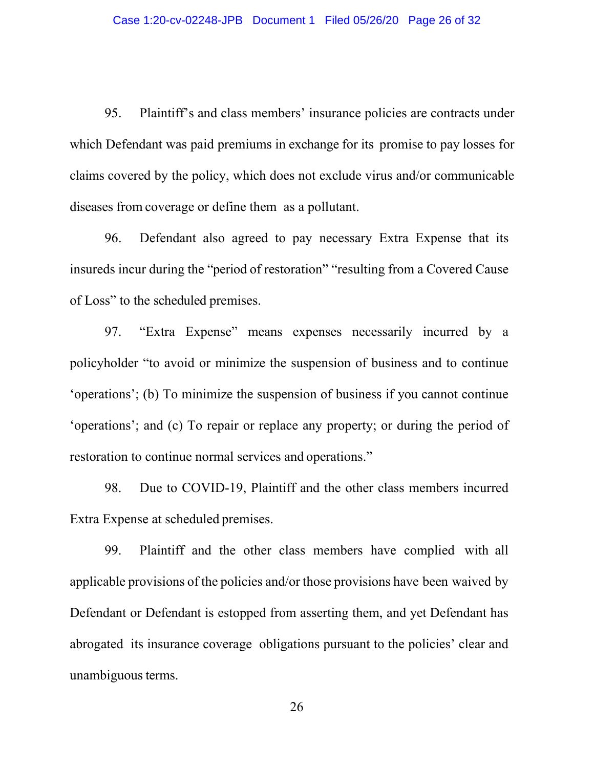95. Plaintiff's and class members' insurance policies are contracts under which Defendant was paid premiums in exchange for its promise to pay losses for claims covered by the policy, which does not exclude virus and/or communicable diseases from coverage or define them as a pollutant.

96. Defendant also agreed to pay necessary Extra Expense that its insureds incur during the "period of restoration" "resulting from a Covered Cause of Loss" to the scheduled premises.

97. "Extra Expense" means expenses necessarily incurred by a policyholder "to avoid or minimize the suspension of business and to continue 'operations'; (b) To minimize the suspension of business if you cannot continue 'operations'; and (c) To repair or replace any property; or during the period of restoration to continue normal services and operations."

98. Due to COVID-19, Plaintiff and the other class members incurred Extra Expense at scheduled premises.

99. Plaintiff and the other class members have complied with all applicable provisions of the policies and/or those provisions have been waived by Defendant or Defendant is estopped from asserting them, and yet Defendant has abrogated its insurance coverage obligations pursuant to the policies' clear and unambiguous terms.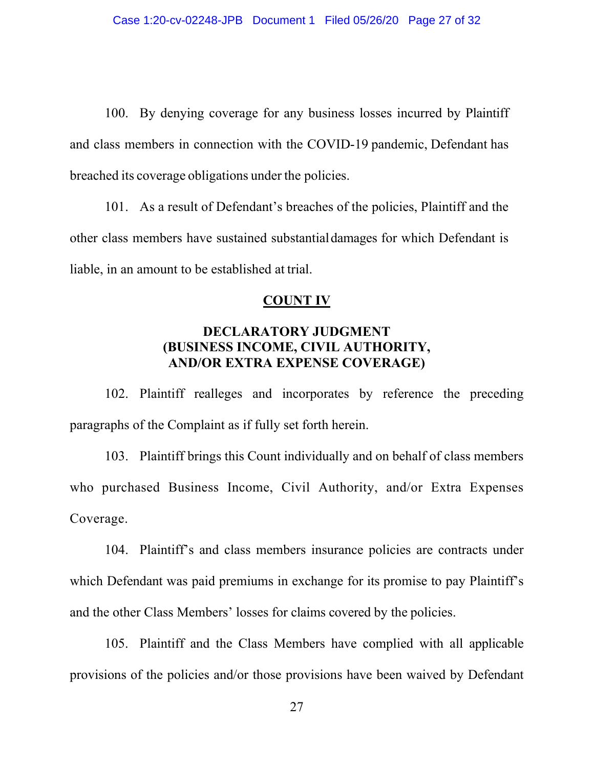100. By denying coverage for any business losses incurred by Plaintiff and class members in connection with the COVID-19 pandemic, Defendant has breached its coverage obligations under the policies.

101. As a result of Defendant's breaches of the policies, Plaintiff and the other class members have sustained substantialdamages for which Defendant is liable, in an amount to be established at trial.

#### **COUNT IV**

### **DECLARATORY JUDGMENT (BUSINESS INCOME, CIVIL AUTHORITY, AND/OR EXTRA EXPENSE COVERAGE)**

102. Plaintiff realleges and incorporates by reference the preceding paragraphs of the Complaint as if fully set forth herein.

103. Plaintiff brings this Count individually and on behalf of class members who purchased Business Income, Civil Authority, and/or Extra Expenses Coverage.

104. Plaintiff's and class members insurance policies are contracts under which Defendant was paid premiums in exchange for its promise to pay Plaintiff's and the other Class Members' losses for claims covered by the policies.

105. Plaintiff and the Class Members have complied with all applicable provisions of the policies and/or those provisions have been waived by Defendant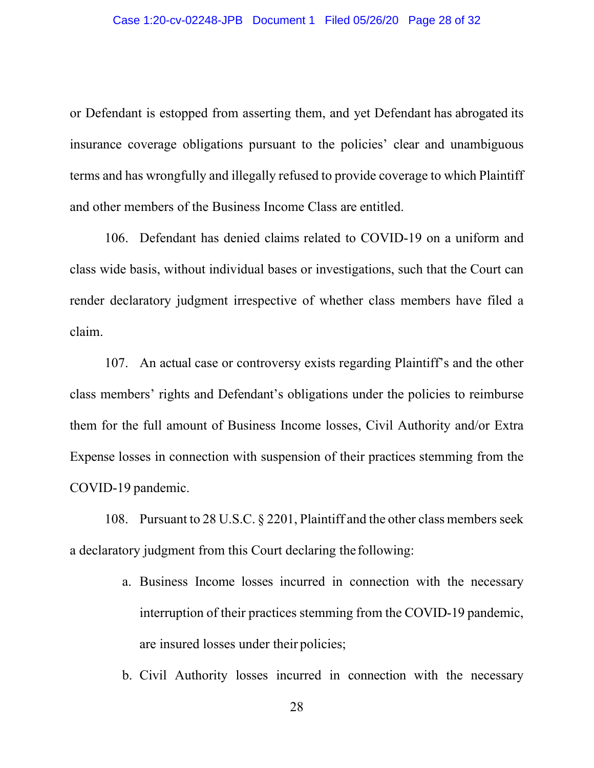or Defendant is estopped from asserting them, and yet Defendant has abrogated its insurance coverage obligations pursuant to the policies' clear and unambiguous terms and has wrongfully and illegally refused to provide coverage to which Plaintiff and other members of the Business Income Class are entitled.

106. Defendant has denied claims related to COVID-19 on a uniform and class wide basis, without individual bases or investigations, such that the Court can render declaratory judgment irrespective of whether class members have filed a claim.

107. An actual case or controversy exists regarding Plaintiff's and the other class members' rights and Defendant's obligations under the policies to reimburse them for the full amount of Business Income losses, Civil Authority and/or Extra Expense losses in connection with suspension of their practices stemming from the COVID-19 pandemic.

108. Pursuant to 28 U.S.C. § 2201, Plaintiff and the other class members seek a declaratory judgment from this Court declaring the following:

- a. Business Income losses incurred in connection with the necessary interruption of their practices stemming from the COVID-19 pandemic, are insured losses under their policies;
- b. Civil Authority losses incurred in connection with the necessary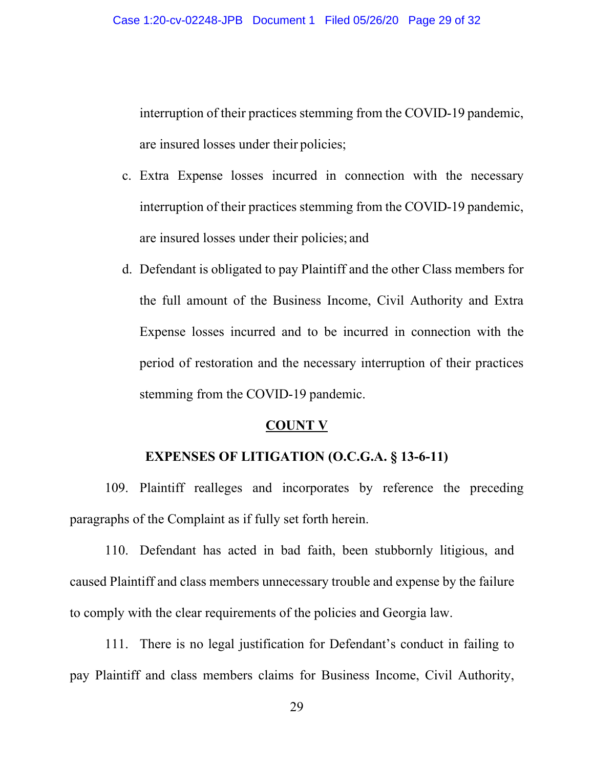interruption of their practices stemming from the COVID-19 pandemic, are insured losses under their policies;

- c. Extra Expense losses incurred in connection with the necessary interruption of their practices stemming from the COVID-19 pandemic, are insured losses under their policies; and
- d. Defendant is obligated to pay Plaintiff and the other Class members for the full amount of the Business Income, Civil Authority and Extra Expense losses incurred and to be incurred in connection with the period of restoration and the necessary interruption of their practices stemming from the COVID-19 pandemic.

#### **COUNT V**

#### **EXPENSES OF LITIGATION (O.C.G.A. § 13-6-11)**

109. Plaintiff realleges and incorporates by reference the preceding paragraphs of the Complaint as if fully set forth herein.

110. Defendant has acted in bad faith, been stubbornly litigious, and caused Plaintiff and class members unnecessary trouble and expense by the failure to comply with the clear requirements of the policies and Georgia law.

111. There is no legal justification for Defendant's conduct in failing to pay Plaintiff and class members claims for Business Income, Civil Authority,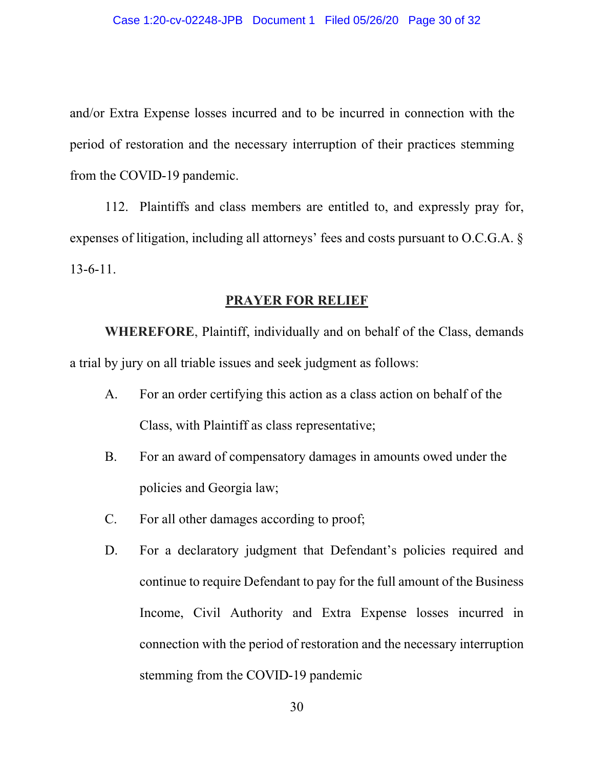and/or Extra Expense losses incurred and to be incurred in connection with the period of restoration and the necessary interruption of their practices stemming from the COVID-19 pandemic.

112. Plaintiffs and class members are entitled to, and expressly pray for, expenses of litigation, including all attorneys' fees and costs pursuant to O.C.G.A. § 13-6-11.

#### **PRAYER FOR RELIEF**

**WHEREFORE**, Plaintiff, individually and on behalf of the Class, demands a trial by jury on all triable issues and seek judgment as follows:

- A. For an order certifying this action as a class action on behalf of the Class, with Plaintiff as class representative;
- B. For an award of compensatory damages in amounts owed under the policies and Georgia law;
- C. For all other damages according to proof;
- D. For a declaratory judgment that Defendant's policies required and continue to require Defendant to pay for the full amount of the Business Income, Civil Authority and Extra Expense losses incurred in connection with the period of restoration and the necessary interruption stemming from the COVID-19 pandemic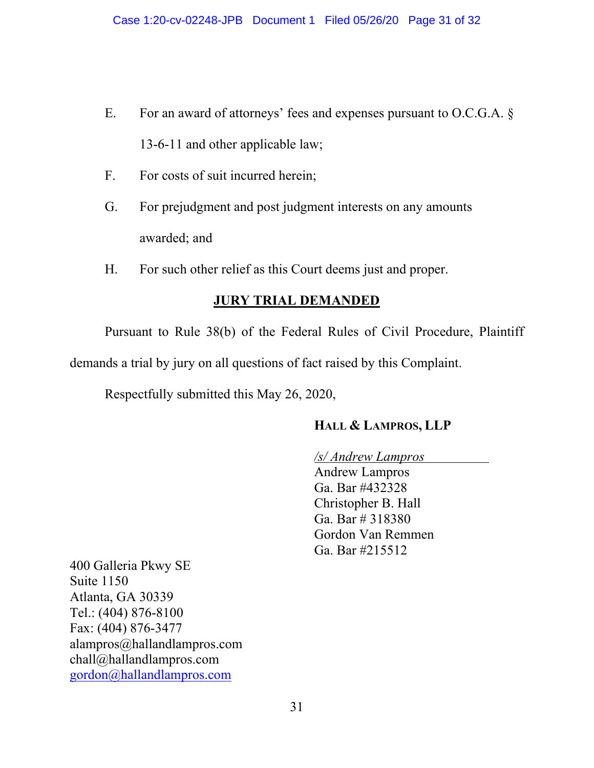- E. For an award of attorneys' fees and expenses pursuant to O.C.G.A. § 13-6-11 and other applicable law;
- F. For costs of suit incurred herein;
- G. For prejudgment and post judgment interests on any amounts awarded; and
- H. For such other relief as this Court deems just and proper.

# **JURY TRIAL DEMANDED**

Pursuant to Rule 38(b) of the Federal Rules of Civil Procedure, Plaintiff demands a trial by jury on all questions of fact raised by this Complaint.

Respectfully submitted this May 26, 2020,

# **HALL & LAMPROS, LLP**

*/s/ Andrew Lampros* Andrew Lampros Ga. Bar #432328 Christopher B. Hall Ga. Bar # 318380 Gordon Van Remmen Ga. Bar #215512

400 Galleria Pkwy SE Suite 1150 Atlanta, GA 30339 Tel.: (404) 876-8100 Fax: (404) 876-3477 alampros@hallandlampros.com chall@hallandlampros.com [gordon@hallandlampros.com](mailto:gordon@hallandlampros.com)